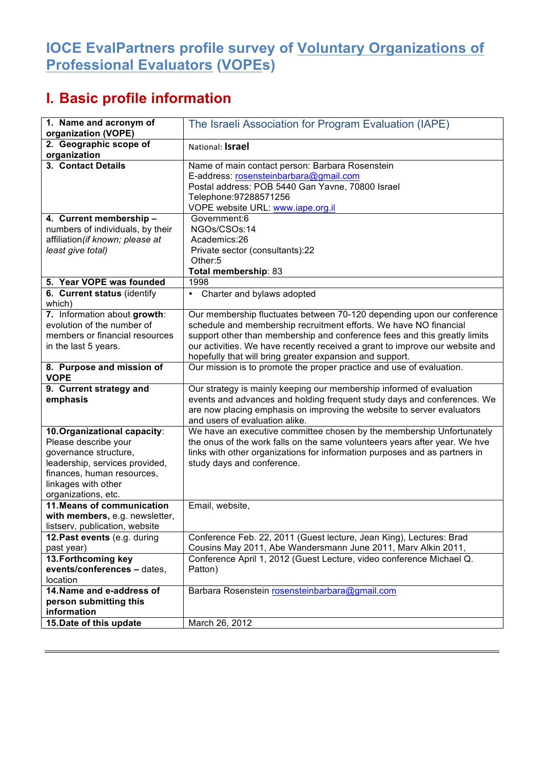## **IOCE EvalPartners profile survey of Voluntary Organizations of Professional Evaluators (VOPEs)**

## **I. Basic profile information**

| 1. Name and acronym of<br>organization (VOPE)                                                                                                                                               | The Israeli Association for Program Evaluation (IAPE)                                                                                                                                                                                                                                                                                                                |
|---------------------------------------------------------------------------------------------------------------------------------------------------------------------------------------------|----------------------------------------------------------------------------------------------------------------------------------------------------------------------------------------------------------------------------------------------------------------------------------------------------------------------------------------------------------------------|
| 2. Geographic scope of<br>organization                                                                                                                                                      | National: Israel                                                                                                                                                                                                                                                                                                                                                     |
| 3. Contact Details                                                                                                                                                                          | Name of main contact person: Barbara Rosenstein<br>E-address: rosensteinbarbara@gmail.com<br>Postal address: POB 5440 Gan Yavne, 70800 Israel<br>Telephone: 97288571256<br>VOPE website URL: www.iape.org.il                                                                                                                                                         |
| 4. Current membership -<br>numbers of individuals, by their<br>affiliation (if known; please at<br>least give total)                                                                        | Government:6<br>NGOs/CSOs:14<br>Academics:26<br>Private sector (consultants):22<br>Other:5<br>Total membership: 83                                                                                                                                                                                                                                                   |
| 5. Year VOPE was founded                                                                                                                                                                    | 1998                                                                                                                                                                                                                                                                                                                                                                 |
| 6. Current status (identify<br>which)                                                                                                                                                       | Charter and bylaws adopted<br>$\bullet$                                                                                                                                                                                                                                                                                                                              |
| 7. Information about growth:<br>evolution of the number of<br>members or financial resources<br>in the last 5 years.                                                                        | Our membership fluctuates between 70-120 depending upon our conference<br>schedule and membership recruitment efforts. We have NO financial<br>support other than membership and conference fees and this greatly limits<br>our activities. We have recently received a grant to improve our website and<br>hopefully that will bring greater expansion and support. |
| 8. Purpose and mission of<br><b>VOPE</b>                                                                                                                                                    | Our mission is to promote the proper practice and use of evaluation.                                                                                                                                                                                                                                                                                                 |
| 9. Current strategy and<br>emphasis                                                                                                                                                         | Our strategy is mainly keeping our membership informed of evaluation<br>events and advances and holding frequent study days and conferences. We<br>are now placing emphasis on improving the website to server evaluators<br>and users of evaluation alike.                                                                                                          |
| 10. Organizational capacity:<br>Please describe your<br>governance structure,<br>leadership, services provided,<br>finances, human resources,<br>linkages with other<br>organizations, etc. | We have an executive committee chosen by the membership Unfortunately<br>the onus of the work falls on the same volunteers years after year. We hve<br>links with other organizations for information purposes and as partners in<br>study days and conference.                                                                                                      |
| 11. Means of communication<br>with members, e.g. newsletter,<br>listserv, publication, website                                                                                              | Email, website,                                                                                                                                                                                                                                                                                                                                                      |
| 12. Past events (e.g. during<br>past year)                                                                                                                                                  | Conference Feb. 22, 2011 (Guest lecture, Jean King), Lectures: Brad<br>Cousins May 2011, Abe Wandersmann June 2011, Marv Alkin 2011,                                                                                                                                                                                                                                 |
| 13. Forthcoming key<br>events/conferences - dates,<br>location                                                                                                                              | Conference April 1, 2012 (Guest Lecture, video conference Michael Q.<br>Patton)                                                                                                                                                                                                                                                                                      |
| 14. Name and e-address of<br>person submitting this<br>information                                                                                                                          | Barbara Rosenstein rosensteinbarbara@gmail.com                                                                                                                                                                                                                                                                                                                       |
| 15. Date of this update                                                                                                                                                                     | March 26, 2012                                                                                                                                                                                                                                                                                                                                                       |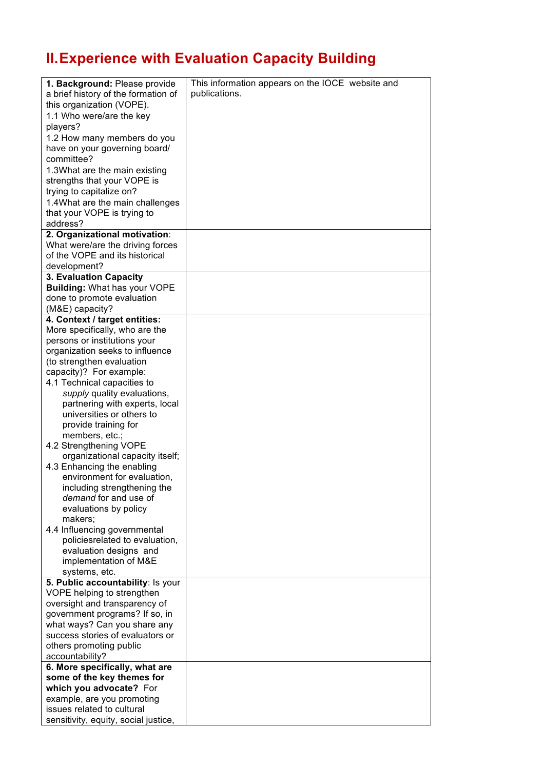## **II.Experience with Evaluation Capacity Building**

| 1. Background: Please provide                                | This information appears on the IOCE website and |
|--------------------------------------------------------------|--------------------------------------------------|
| a brief history of the formation of                          | publications.                                    |
| this organization (VOPE).                                    |                                                  |
| 1.1 Who were/are the key                                     |                                                  |
| players?                                                     |                                                  |
| 1.2 How many members do you                                  |                                                  |
| have on your governing board/                                |                                                  |
| committee?                                                   |                                                  |
|                                                              |                                                  |
| 1.3What are the main existing<br>strengths that your VOPE is |                                                  |
|                                                              |                                                  |
| trying to capitalize on?                                     |                                                  |
| 1.4What are the main challenges                              |                                                  |
| that your VOPE is trying to                                  |                                                  |
| address?                                                     |                                                  |
| 2. Organizational motivation:                                |                                                  |
| What were/are the driving forces                             |                                                  |
| of the VOPE and its historical                               |                                                  |
| development?                                                 |                                                  |
| 3. Evaluation Capacity                                       |                                                  |
| <b>Building: What has your VOPE</b>                          |                                                  |
| done to promote evaluation                                   |                                                  |
| (M&E) capacity?                                              |                                                  |
| 4. Context / target entities:                                |                                                  |
| More specifically, who are the                               |                                                  |
| persons or institutions your                                 |                                                  |
| organization seeks to influence                              |                                                  |
| (to strengthen evaluation                                    |                                                  |
| capacity)? For example:                                      |                                                  |
| 4.1 Technical capacities to                                  |                                                  |
| supply quality evaluations,                                  |                                                  |
| partnering with experts, local<br>universities or others to  |                                                  |
| provide training for                                         |                                                  |
| members, etc.;                                               |                                                  |
| 4.2 Strengthening VOPE                                       |                                                  |
| organizational capacity itself;                              |                                                  |
| 4.3 Enhancing the enabling                                   |                                                  |
| environment for evaluation.                                  |                                                  |
| including strengthening the                                  |                                                  |
| demand for and use of                                        |                                                  |
| evaluations by policy                                        |                                                  |
| makers;                                                      |                                                  |
| 4.4 Influencing governmental                                 |                                                  |
| policiesrelated to evaluation,                               |                                                  |
| evaluation designs and                                       |                                                  |
| implementation of M&E                                        |                                                  |
| systems, etc.                                                |                                                  |
| 5. Public accountability: Is your                            |                                                  |
| VOPE helping to strengthen                                   |                                                  |
| oversight and transparency of                                |                                                  |
| government programs? If so, in                               |                                                  |
| what ways? Can you share any                                 |                                                  |
| success stories of evaluators or                             |                                                  |
| others promoting public                                      |                                                  |
| accountability?                                              |                                                  |
| 6. More specifically, what are                               |                                                  |
| some of the key themes for                                   |                                                  |
| which you advocate? For                                      |                                                  |
| example, are you promoting                                   |                                                  |
| issues related to cultural                                   |                                                  |
| sensitivity, equity, social justice,                         |                                                  |